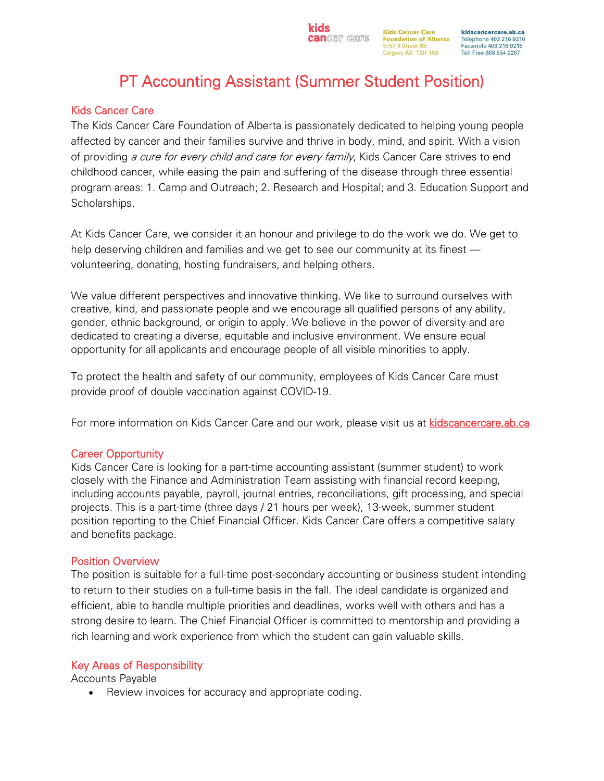kidscancercare.ab.ca Telephone 403 216 9210 Facsimile 403 216 9215 Toll Free 888 554 2267

# PT Accounting Assistant (Summer Student Position)

**kids** 

# Kids Cancer Care

The Kids Cancer Care Foundation of Alberta is passionately dedicated to helping young people affected by cancer and their families survive and thrive in body, mind, and spirit. With a vision of providing a cure for every child and care for every family, Kids Cancer Care strives to end childhood cancer, while easing the pain and suffering of the disease through three essential program areas: 1. Camp and Outreach; 2. Research and Hospital; and 3. Education Support and Scholarships.

At Kids Cancer Care, we consider it an honour and privilege to do the work we do. We get to help deserving children and families and we get to see our community at its finest volunteering, donating, hosting fundraisers, and helping others.

We value different perspectives and innovative thinking. We like to surround ourselves with creative, kind, and passionate people and we encourage all qualified persons of any ability, gender, ethnic background, or origin to apply. We believe in the power of diversity and are dedicated to creating a diverse, equitable and inclusive environment. We ensure equal opportunity for all applicants and encourage people of all visible minorities to apply.

To protect the health and safety of our community, employees of Kids Cancer Care must provide proof of double vaccination against COVID-19.

For more information on Kids Cancer Care and our work, please visit us at [kidscancercare.ab.ca.](http://www.kidscancercare.ab.ca/)

# Career Opportunity

Kids Cancer Care is looking for a part-time accounting assistant (summer student) to work closely with the Finance and Administration Team assisting with financial record keeping, including accounts payable, payroll, journal entries, reconciliations, gift processing, and special projects. This is a part-time (three days / 21 hours per week), 13-week, summer student position reporting to the Chief Financial Officer. Kids Cancer Care offers a competitive salary and benefits package.

# Position Overview

The position is suitable for a full-time post-secondary accounting or business student intending to return to their studies on a full-time basis in the fall. The ideal candidate is organized and efficient, able to handle multiple priorities and deadlines, works well with others and has a strong desire to learn. The Chief Financial Officer is committed to mentorship and providing a rich learning and work experience from which the student can gain valuable skills.

# Key Areas of Responsibility

Accounts Payable

• Review invoices for accuracy and appropriate coding.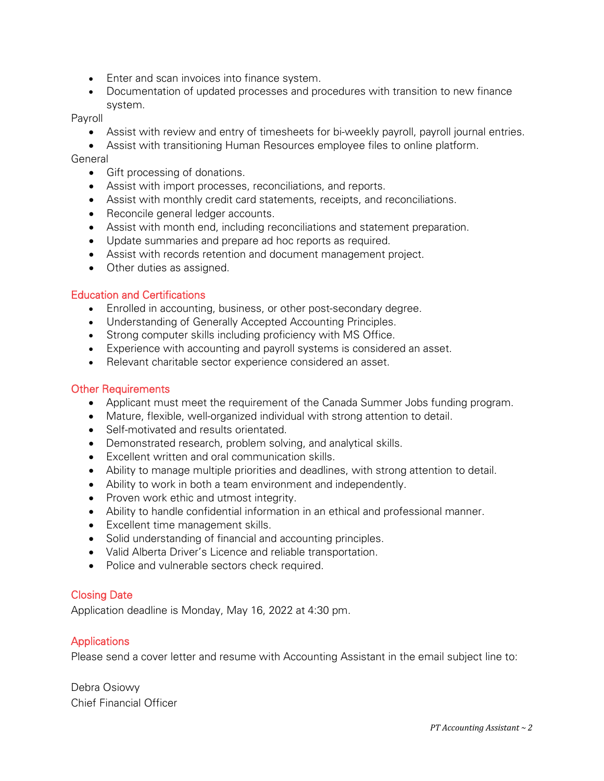- Enter and scan invoices into finance system.
- Documentation of updated processes and procedures with transition to new finance system.

Payroll

- Assist with review and entry of timesheets for bi-weekly payroll, payroll journal entries.
- Assist with transitioning Human Resources employee files to online platform.

#### General

- Gift processing of donations.
- Assist with import processes, reconciliations, and reports.
- Assist with monthly credit card statements, receipts, and reconciliations.
- Reconcile general ledger accounts.
- Assist with month end, including reconciliations and statement preparation.
- Update summaries and prepare ad hoc reports as required.
- Assist with records retention and document management project.
- Other duties as assigned.

#### Education and Certifications

- Enrolled in accounting, business, or other post-secondary degree.
- Understanding of Generally Accepted Accounting Principles.
- Strong computer skills including proficiency with MS Office.
- Experience with accounting and payroll systems is considered an asset.
- Relevant charitable sector experience considered an asset.

#### **Other Requirements**

- Applicant must meet the requirement of the Canada Summer Jobs funding program.
- Mature, flexible, well-organized individual with strong attention to detail.
- Self-motivated and results orientated.
- Demonstrated research, problem solving, and analytical skills.
- Excellent written and oral communication skills.
- Ability to manage multiple priorities and deadlines, with strong attention to detail.
- Ability to work in both a team environment and independently.
- Proven work ethic and utmost integrity.
- Ability to handle confidential information in an ethical and professional manner.
- Excellent time management skills.
- Solid understanding of financial and accounting principles.
- Valid Alberta Driver's Licence and reliable transportation.
- Police and vulnerable sectors check required.

# Closing Date

Application deadline is Monday, May 16, 2022 at 4:30 pm.

# **Applications**

Please send a cover letter and resume with Accounting Assistant in the email subject line to:

Debra Osiowy Chief Financial Officer